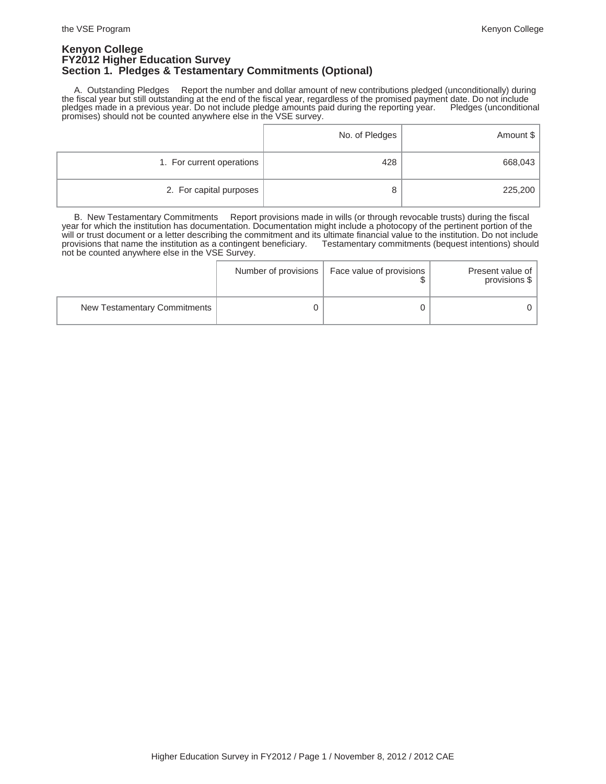### **Kenyon College FY2012 Higher Education Survey Section 1. Pledges & Testamentary Commitments (Optional)**

 A. Outstanding Pledges Report the number and dollar amount of new contributions pledged (unconditionally) during the fiscal year but still outstanding at the end of the fiscal year, regardless of the promised payment date. Do not include pledges made in a previous year. Do not include pledge amounts paid during the reporting year. Pledges (unconditional promises) should not be counted anywhere else in the VSE survey.

|                           | No. of Pledges | Amount \$ |
|---------------------------|----------------|-----------|
| 1. For current operations | 428            | 668,043   |
| 2. For capital purposes   | 8              | 225,200   |

 B. New Testamentary Commitments Report provisions made in wills (or through revocable trusts) during the fiscal year for which the institution has documentation. Documentation might include a photocopy of the pertinent portion of the will or trust document or a letter describing the commitment and its ultimate financial value to the institution. Do not include<br>provisions that name the institution as a contingent beneficiary. Testamentary commitments (b provisions that name the institution as a contingent beneficiary. not be counted anywhere else in the VSE Survey.

|                              | Number of provisions   Face value of provisions | Present value of<br>provisions \$ |
|------------------------------|-------------------------------------------------|-----------------------------------|
| New Testamentary Commitments |                                                 |                                   |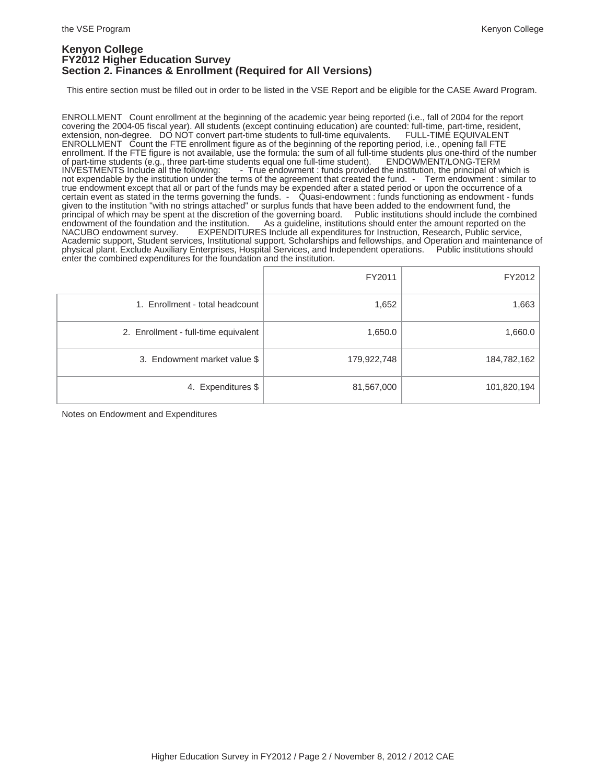### **Kenyon College FY2012 Higher Education Survey Section 2. Finances & Enrollment (Required for All Versions)**

This entire section must be filled out in order to be listed in the VSE Report and be eligible for the CASE Award Program.

ENROLLMENT Count enrollment at the beginning of the academic year being reported (i.e., fall of 2004 for the report covering the 2004-05 fiscal year). All students (except continuing education) are counted: full-time, part-time, resident, extension, non-degree. DO NOT convert part-time students to full-time equivalents. FULL-TIME EQUIVA extension, non-degree. DO NOT convert part-time students to full-time equivalents. ENROLLMENT Count the FTE enrollment figure as of the beginning of the reporting period, i.e., opening fall FTE enrollment. If the FTE figure is not available, use the formula: the sum of all full-time students plus one-third of the number<br>of part-time students (e.g., three part-time students equal one full-time student). ENDOWMENT/ of part-time students (e.g., three part-time students equal one full-time student). ENDOWMENT/LONG-TERM INVESTMENTS Include all the following: - True endowment : funds provided the institution, the principal of which is INVESTMENTS Include all the following: - True endowment : funds provided the institution, the principal of which is not expendable by the institution under the terms of the agreement that created the fund. - Term endowment true endowment except that all or part of the funds may be expended after a stated period or upon the occurrence of a certain event as stated in the terms governing the funds. - Quasi-endowment : funds functioning as endowment - funds given to the institution "with no strings attached" or surplus funds that have been added to the endowment fund, the<br>principal of which may be spent at the discretion of the governing board. Public institutions should incl principal of which may be spent at the discretion of the governing board.<br>endowment of the foundation and the institution. As a guideline, institutions endowment of the foundation and the institution. As a guideline, institutions should enter the amount reported on the NACUBO endowment survey. EXPENDITURES Include all expenditures for Instruction, Research, Public service EXPENDITURES Include all expenditures for Instruction, Research, Public service, Academic support, Student services, Institutional support, Scholarships and fellowships, and Operation and maintenance of physical plant. Exclude Auxiliary Enterprises, Hospital Services, and Independent operations. Public institutions should enter the combined expenditures for the foundation and the institution.

|                                      | FY2011      | FY2012      |
|--------------------------------------|-------------|-------------|
| 1. Enrollment - total headcount      | 1,652       | 1,663       |
| 2. Enrollment - full-time equivalent | 1,650.0     | 1,660.0     |
| 3. Endowment market value \$         | 179,922,748 | 184,782,162 |
| 4. Expenditures \$                   | 81,567,000  | 101,820,194 |

Notes on Endowment and Expenditures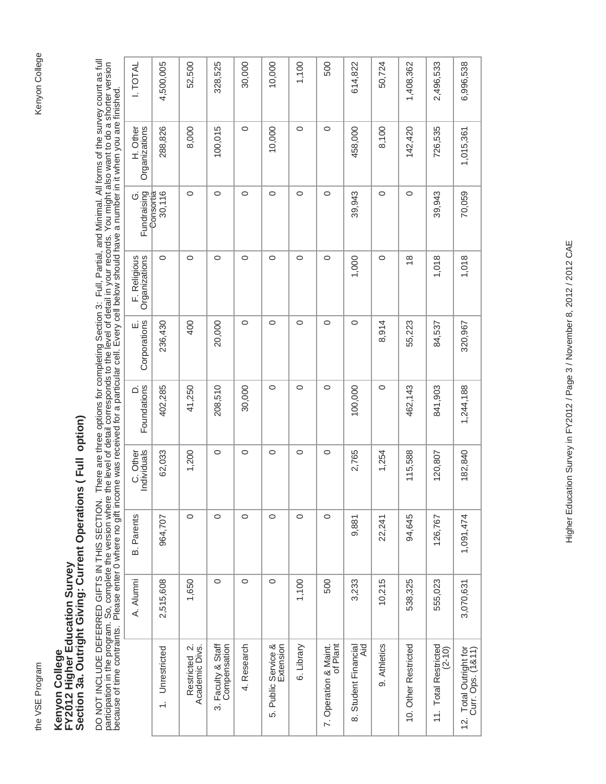# Kenyon College

# Kenyon College<br>FY2012 Higher Education Survey<br>Section 3a. Outright Giving: Current Operations ( Full option) **Section 3a. Outright Giving: Current Operations ( Full option) FY2012 Higher Education Survey Kenyon College**

DO NOT INCLUDE DEFERRED GIFTS IN THIS SECTION. There are three options for completing Section 3: Full, Partial, and Minimal. All forms of the survey count as full<br>participation in the program. So, complete the version wher DO NOT INCLUDE DEFERRED GIFTS GIFTS GIFTS IN THIS SECTION. There are three options for completing Section 3: Full, Partial, and Minimal. All forms of the survey count as full participation in the program. So, complete the version where the level of detail corresponds to the level of detail in your records. You might also want to do a shorter version because of time contraints. Please enter 0 where no gift income was received for a particular cell. Every cell below should have a number in it when you are finished.

|        | <b>I. TOTAL</b>               | 4,500,005           | 52,500                          | 328,525                            | 30,000      | 10,000                           | 1,100      | 500                               | 614,822                     | 50,724       | 1,408,362            | 2,496,533                          | 6,996,538                                   |
|--------|-------------------------------|---------------------|---------------------------------|------------------------------------|-------------|----------------------------------|------------|-----------------------------------|-----------------------------|--------------|----------------------|------------------------------------|---------------------------------------------|
|        | H. Other<br>Organizations     | 288,826             | 8,000                           | 100,015                            | $\circ$     | 10,000                           | $\circ$    | $\circ$                           | 458,000                     | 8,100        | 142,420              | 726,535                            | 1,015,361                                   |
|        | Fundraising<br>Ö              | 30,116<br>Consortia | $\circ$                         | $\circ$                            | $\circ$     | $\circ$                          | $\circ$    | $\circ$                           | 39,943                      | $\circ$      | $\circ$              | 39,943                             | 70,059                                      |
|        | F. Religious<br>Organizations | 0                   | $\circ$                         | $\circ$                            | $\circ$     | $\circ$                          | $\circ$    | $\circ$                           | 1,000                       | $\circ$      | $\frac{8}{1}$        | 1,018                              | 1,018                                       |
|        | E.<br>Corporations            | 236,430             | 400                             | 20,000                             | $\circ$     | $\circ$                          | $\circ$    | $\circ$                           | $\circ$                     | 8,914        | 55,223               | 84,537                             | 320,967                                     |
|        | Foundations<br>ρ              | 402,285             | 41,250                          | 208,510                            | 30,000      | $\circ$                          | $\circ$    | $\circ$                           | 100,000                     | $\circ$      | 462,143              | 841,903                            | 1,244,188                                   |
|        | C. Other<br>Individuals       | 62,033              | 1,200                           | $\circ$                            | $\circ$     | $\circ$                          | $\circ$    | $\circ$                           | 2,765                       | 1,254        | 115,588              | 120,807                            | 182,840                                     |
| .<br>ת | <b>B.</b> Parents             | 964,707             | $\circ$                         | $\circ$                            | $\circ$     | $\circ$                          | $\circ$    | $\circ$                           | 9,881                       | 22,241       | 94,645               | 126,767                            | 1,091,474                                   |
|        | A. Alumni                     | 2,515,608           | 1,650                           | $\circ$                            | $\circ$     | $\circ$                          | 1,100      | 500                               | 3,233                       | 10,215       | 538,325              | 555,023                            | 3,070,631                                   |
|        |                               | 1. Unrestricted     | Restricted 2.<br>Academic Divs. | 3. Faculty & Staff<br>Compensation | 4. Research | 5. Public Service &<br>Extension | 6. Library | of Plant<br>7. Operation & Maint. | 8. Student Financial<br>Aid | 9. Athletics | 10. Other Restricted | 11. Total Restricted<br>$(2 - 10)$ | 12. Total Outright for<br>Curr. Ops. (1&11) |
|        |                               |                     |                                 |                                    |             |                                  |            |                                   |                             |              |                      |                                    |                                             |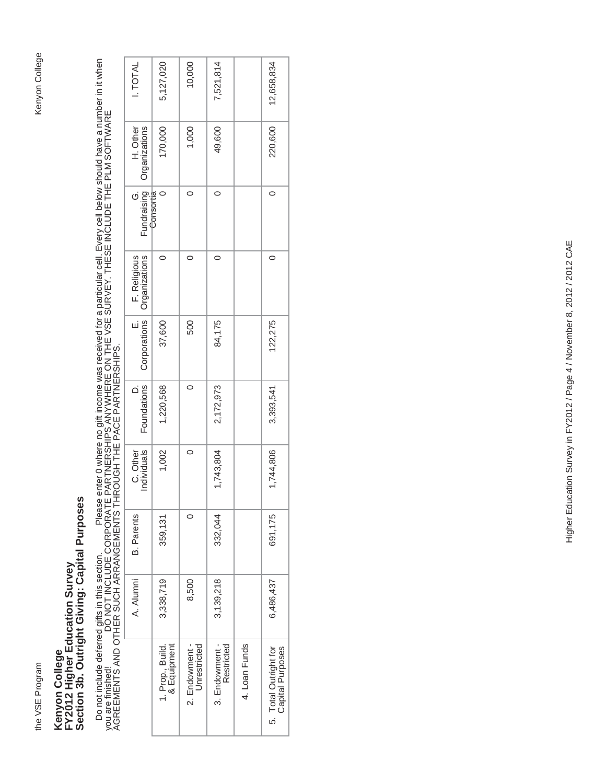# Kenyon College the VSE Program Kenyon College

# Kenyon College<br>FY2012 Higher Education Survey<br>Section 3b. Outright Giving: Capital Purposes **Section 3b. Outright Giving: Capital Purposes FY2012 Higher Education Survey Kenyon College**

Do not include deferred gifts in this section. Please enter 0 where no gift income was received for a particular cell. Every cell below should have a number in it when<br>you are finished! DO NOT INCLUDE CORPORATE PARTNE Do not include deferred gifts in this section. Please enter 0 where no gift income was received for a particular cell. Every cell below should have a number in it when you are finished! DO NOT INCLUDE CORPORATE PARTNERSHIPS ANYWHERE ON THE VSE SURVEY. THESE INCLUDE THE PLM SOFTWARE AGREEMENTS AND OTHER SUCH ARRANGEMENTS THROUGH THE PACE PARTNERSHIPS.

| <b>LTOTAL</b>                 | 5,127,020                       | 10,000                         | 7,521,814                    |               | 12,658,834                                |
|-------------------------------|---------------------------------|--------------------------------|------------------------------|---------------|-------------------------------------------|
|                               |                                 |                                |                              |               |                                           |
| H. Other<br>Organizations     | 170,000                         | 1,000                          | 49,600                       |               | 220,600                                   |
| Fundraising<br>$\dot{\circ}$  |                                 |                                | 0                            |               | 0                                         |
| F. Religious<br>Organizations |                                 |                                |                              |               | 0                                         |
| Corporations                  | 37,600                          | 500                            | 84,175                       |               | 122,275                                   |
| Foundations                   | 1,220,568                       | $\circ$                        | 2,172,973                    |               | 3,393,541                                 |
| C. Other<br>Individuals       | 1,002                           | $\circ$                        | 1,743,804                    |               | 1,744,806                                 |
| <b>B.</b> Parents             | 359,131                         |                                | 332,044                      |               | 691,175                                   |
| A. Alumni                     | 3,338,719                       | 8,500                          | 3,139,218                    |               | 6,486,437                                 |
|                               | 1. Prop., Build.<br>& Equipment | 2. Endowment -<br>Unrestricted | 3. Endowment -<br>Restricted | 4. Loan Funds | 5. Total Outright for<br>Capital Purposes |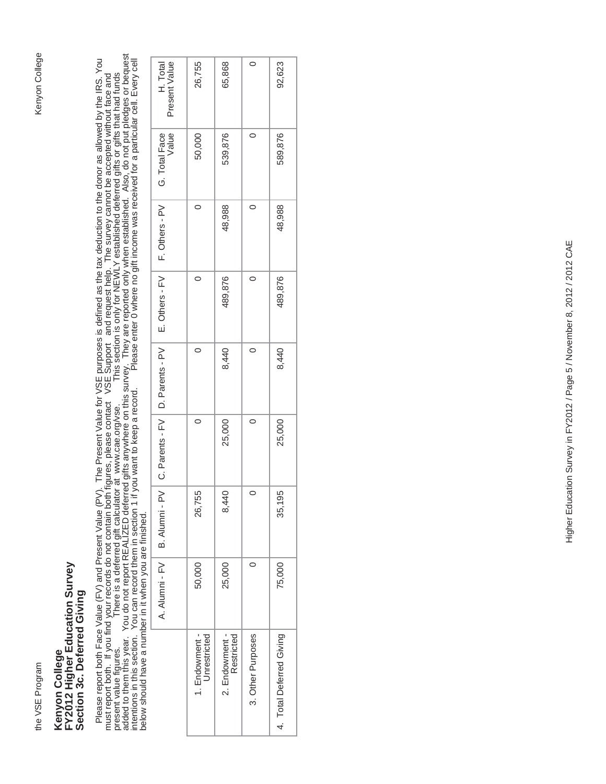# Kenyon College the VSE Program Kenyon College

## Kenyon College<br>FY2012 Higher Education Survey<br>Section 3c. Deferred Giving **FY2012 Higher Education Survey Section 3c. Deferred Giving Kenyon College**

Please report both Face Value (FV) and Present Value (PV). The Present Value for VSE purposes is defined as the tax deduction to the donor as allowed by the IRS. You<br>must report both. If you find your records do not contai added to them this year. You do not report REALIZED deferred gifts anywhere on this survey. They are reported only when established. Also, do not put pledges or bequest Please report both Face Value (FV) and Present Value (PV). The Present Value for VSE purposes is defined as the tax deduction to the donor as allowed by the IRS. You intentions in this section. You can record them in section 1 if you want to keep a record. Please enter 0 where no gift income was received for a particular cell. Every cell present value figures. There is a deferred gift calculator at www.cae.org/vse. This section is only for NEWLY established deferred gifts or gifts that had funds must report both. If you find your records do not contain both figures, please contact VSE Support and request help. The survey cannot be accepted without face and below should have a number in it when you are finished.

|                                                                     | 26,755                         | 65,868                       |                   | 92,623                   |
|---------------------------------------------------------------------|--------------------------------|------------------------------|-------------------|--------------------------|
| H. Total<br>Present Value                                           |                                |                              |                   |                          |
| Value<br>G. Total Face                                              | 50,000                         | 539,876                      |                   | 589,876                  |
| E. Others - FV   F. Others - PV                                     |                                | 48,988                       |                   | 48,988                   |
|                                                                     |                                | 489,876                      | 0                 | 489,876                  |
| A. Alumni - FV   B. Alumni - PV   C. Parents - FV   D. Parents - PV |                                | 8,440                        | 0                 | 8,440                    |
|                                                                     |                                | 25,000                       | $\circ$           | 25,000                   |
|                                                                     | 26,755                         | 8,440                        | $\circ$           | 35,195                   |
|                                                                     | 50,000                         | 25,000                       |                   | 75,000                   |
|                                                                     | 1. Endowment -<br>Unrestricted | 2. Endowment -<br>Restricted | 3. Other Purposes | 4. Total Deferred Giving |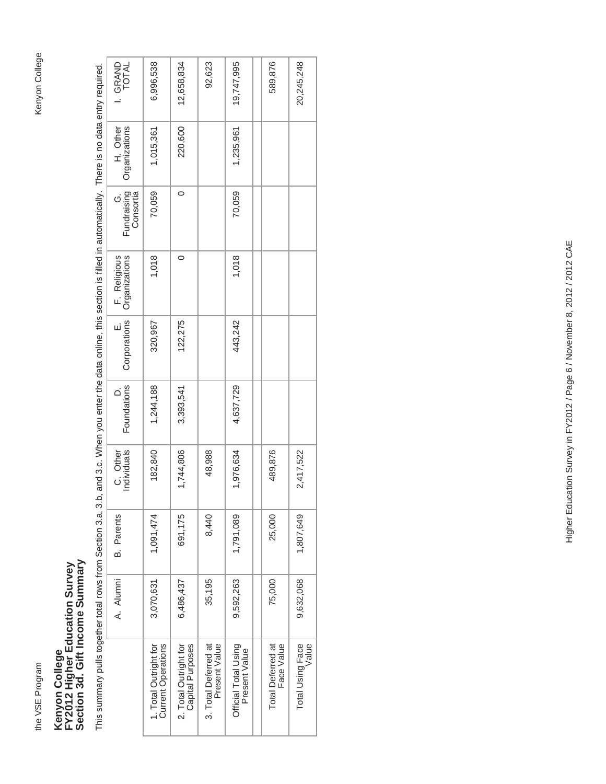the VSE Program

## Kenyon College<br>FY2012 Higher Education Survey<br>Section 3d. Gift Income Summary **Section 3d. Gift Income Summary FY2012 Higher Education Survey Kenyon College**

This summary pulls together total rows from Section 3.a, 3.b, and 3.c. When you enter the data online, this section is filled in automatically. There is no data entry required. This summary pulls together total rows from Section 3.a, 3.b, and 3.c. When you enter the data online, this section is filled in automatically. There is no data entry required.

| I. GRAND<br>TOTAL             | 6,996,538                                          | 12,658,834                                | 92,623                                | 19,747,995                            | 589,876                                | 20,245,248                |
|-------------------------------|----------------------------------------------------|-------------------------------------------|---------------------------------------|---------------------------------------|----------------------------------------|---------------------------|
| H. Other<br>Organizations     | 1,015,361                                          | 220,600                                   |                                       | 1,235,961                             |                                        |                           |
| Fundraising<br>Consortia      | 70,059                                             | $\circ$                                   |                                       | 70,059                                |                                        |                           |
| F. Religious<br>Organizations | 1,018                                              | 0                                         |                                       | 1,018                                 |                                        |                           |
| E.<br>Corporations            | 320,967                                            | 122,275                                   |                                       | 443,242                               |                                        |                           |
| Foundations                   | 1,244,188                                          | 3,393,541                                 |                                       | 4,637,729                             |                                        |                           |
| C. Other<br>Individuals       | 182,840                                            | 1,744,806                                 | 48,988                                | 1,976,634                             | 489,876                                | 2,417,522                 |
| <b>B.</b> Parents             | 1,091,474                                          | 691,175                                   | 8,440                                 | 1,791,089                             | 25,000                                 | 1,807,649                 |
| A. Alumni                     | 3,070,631                                          | 6,486,437                                 | 35,195                                | 9,592,263                             | 75,000                                 | 9,632,068                 |
|                               | 1. Total Outright for<br><b>Current Operations</b> | 2. Total Outright for<br>Capital Purposes | 3. Total Deferred at<br>Present Value | Official Total Using<br>Present Value | <b>Total Deferred at</b><br>Face Value | Total Using Face<br>Value |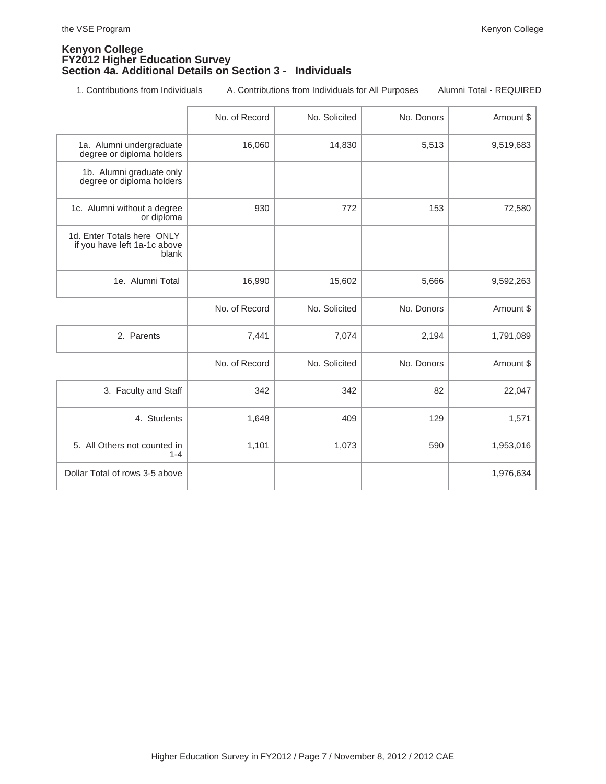### **Kenyon College FY2012 Higher Education Survey Section 4a. Additional Details on Section 3 - Individuals**

1. Contributions from Individuals A. Contributions from Individuals for All Purposes Alumni Total - REQUIRED

|                                                                     | No. of Record | No. Solicited | No. Donors | Amount \$ |
|---------------------------------------------------------------------|---------------|---------------|------------|-----------|
| 1a. Alumni undergraduate<br>degree or diploma holders               | 16,060        | 14,830        | 5,513      | 9,519,683 |
| 1b. Alumni graduate only<br>degree or diploma holders               |               |               |            |           |
| 1c. Alumni without a degree<br>or diploma                           | 930           | 772           | 153        | 72,580    |
| 1d. Enter Totals here ONLY<br>if you have left 1a-1c above<br>blank |               |               |            |           |
| 1e. Alumni Total                                                    | 16,990        | 15,602        | 5,666      | 9,592,263 |
|                                                                     | No. of Record | No. Solicited | No. Donors | Amount \$ |
| 2. Parents                                                          | 7,441         | 7,074         | 2,194      | 1,791,089 |
|                                                                     | No. of Record | No. Solicited | No. Donors | Amount \$ |
| 3. Faculty and Staff                                                | 342           | 342           | 82         | 22,047    |
| 4. Students                                                         | 1,648         | 409           | 129        | 1,571     |
| 5. All Others not counted in<br>$1 - 4$                             | 1,101         | 1,073         | 590        | 1,953,016 |
| Dollar Total of rows 3-5 above                                      |               |               |            | 1,976,634 |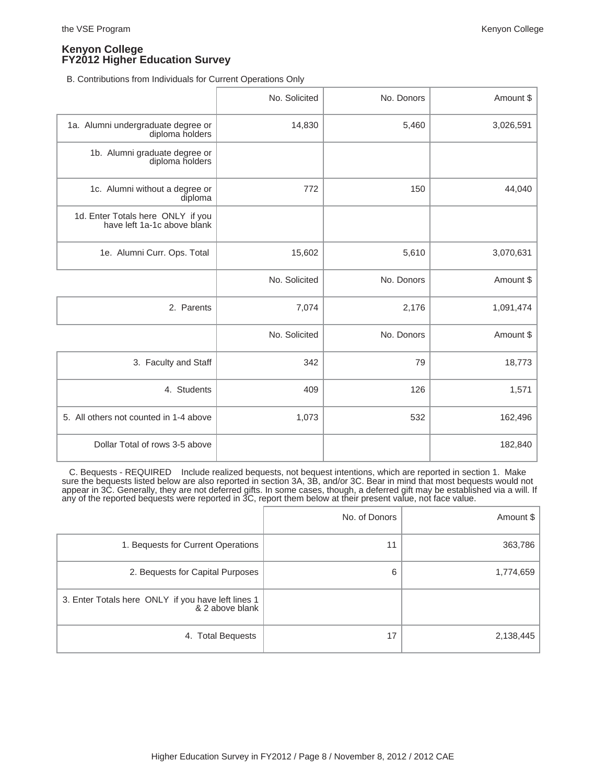B. Contributions from Individuals for Current Operations Only

|                                                                  | No. Solicited | No. Donors | Amount \$ |
|------------------------------------------------------------------|---------------|------------|-----------|
| 1a. Alumni undergraduate degree or<br>diploma holders            | 14,830        | 5,460      | 3,026,591 |
| 1b. Alumni graduate degree or<br>diploma holders                 |               |            |           |
| 1c. Alumni without a degree or<br>diploma                        | 772           | 150        | 44,040    |
| 1d. Enter Totals here ONLY if you<br>have left 1a-1c above blank |               |            |           |
| 1e. Alumni Curr. Ops. Total                                      | 15,602        | 5,610      | 3,070,631 |
|                                                                  | No. Solicited | No. Donors | Amount \$ |
| 2. Parents                                                       | 7,074         | 2,176      | 1,091,474 |
|                                                                  | No. Solicited | No. Donors | Amount \$ |
| 3. Faculty and Staff                                             | 342           | 79         | 18,773    |
| 4. Students                                                      | 409           | 126        | 1,571     |
| 5. All others not counted in 1-4 above                           | 1,073         | 532        | 162,496   |
| Dollar Total of rows 3-5 above                                   |               |            | 182,840   |

 C. Bequests - REQUIRED Include realized bequests, not bequest intentions, which are reported in section 1. Make sure the bequests listed below are also reported in section 3A, 3B, and/or 3C. Bear in mind that most bequests would not appear in 3C. Generally, they are not deferred gifts. In some cases, though, a deferred gift may be established via a will. If any of the reported bequests were reported in 3C, report them below at their present value, not face value.

|                                                                       | No. of Donors | Amount $\frac{1}{2}$ |
|-----------------------------------------------------------------------|---------------|----------------------|
| 1. Bequests for Current Operations                                    | 11            | 363,786              |
| 2. Bequests for Capital Purposes                                      | 6             | 1,774,659            |
| 3. Enter Totals here ONLY if you have left lines 1<br>& 2 above blank |               |                      |
| 4. Total Bequests                                                     | 17            | 2,138,445            |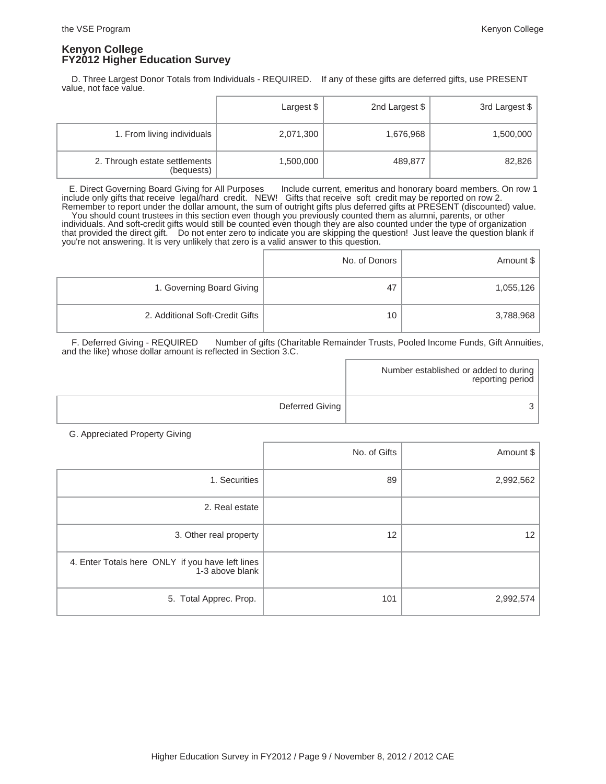D. Three Largest Donor Totals from Individuals - REQUIRED. If any of these gifts are deferred gifts, use PRESENT value, not face value.

|                                             | Largest \$ | 2nd Largest \$ | 3rd Largest \$ |
|---------------------------------------------|------------|----------------|----------------|
| 1. From living individuals                  | 2,071,300  | 1,676,968      | 1,500,000      |
| 2. Through estate settlements<br>(bequests) | 1,500,000  | 489,877        | 82,826         |

 E. Direct Governing Board Giving for All Purposes Include current, emeritus and honorary board members. On row 1 include only gifts that receive legal/hard credit. NEW! Gifts that receive soft credit may be reported on row 2. Remember to report under the dollar amount, the sum of outright gifts plus deferred gifts at PRESENT (discounted) value. You should count trustees in this section even though you previously counted them as alumni, parents, or other individuals. And soft-credit gifts would still be counted even though they are also counted under the type of organization that provided the direct gift. Do not enter zero to indicate you are skipping the question! Just leave the question blank if you're not answering. It is very unlikely that zero is a valid answer to this question.

|                                 | No. of Donors | Amount \$ |
|---------------------------------|---------------|-----------|
| 1. Governing Board Giving       | 47            | 1,055,126 |
| 2. Additional Soft-Credit Gifts | 10            | 3,788,968 |

 F. Deferred Giving - REQUIRED Number of gifts (Charitable Remainder Trusts, Pooled Income Funds, Gift Annuities, and the like) whose dollar amount is reflected in Section 3.C.

|                 | Number established or added to during  <br>reporting period |
|-----------------|-------------------------------------------------------------|
| Deferred Giving |                                                             |

G. Appreciated Property Giving

|                                                                     | No. of Gifts | Amount \$ |
|---------------------------------------------------------------------|--------------|-----------|
| 1. Securities                                                       | 89           | 2,992,562 |
| 2. Real estate                                                      |              |           |
| 3. Other real property                                              | 12           | 12        |
| 4. Enter Totals here ONLY if you have left lines<br>1-3 above blank |              |           |
| 5. Total Apprec. Prop.                                              | 101          | 2,992,574 |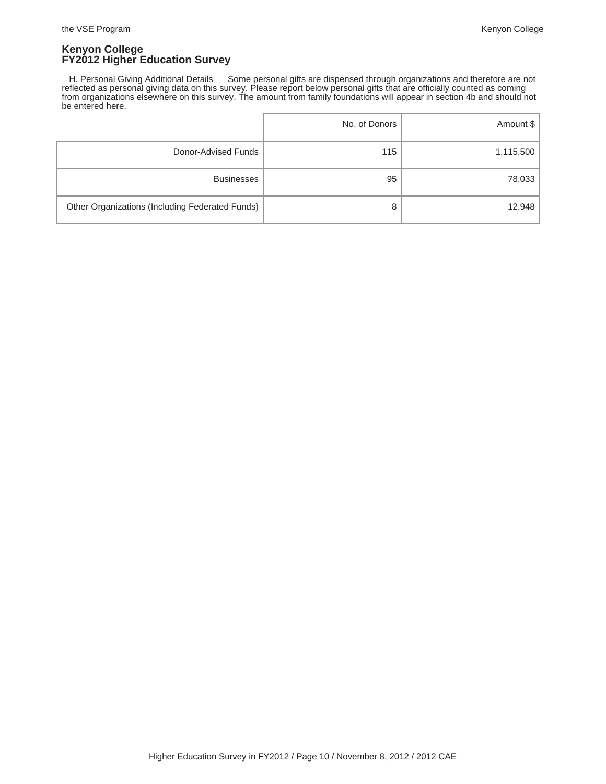H. Personal Giving Additional Details Some personal gifts are dispensed through organizations and therefore are not reflected as personal giving data on this survey. Please report below personal gifts that are officially counted as coming from organizations elsewhere on this survey. The amount from family foundations will appear in section 4b and should not be entered here.

|                                                 | No. of Donors | Amount \$ |
|-------------------------------------------------|---------------|-----------|
| Donor-Advised Funds                             | 115           | 1,115,500 |
| <b>Businesses</b>                               | 95            | 78,033    |
| Other Organizations (Including Federated Funds) | 8             | 12,948    |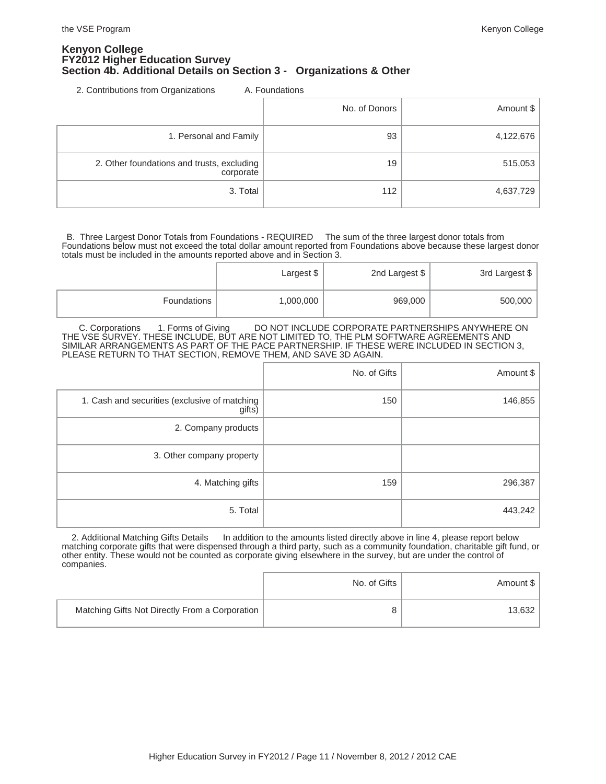### **Kenyon College FY2012 Higher Education Survey Section 4b. Additional Details on Section 3 - Organizations & Other**

2. Contributions from Organizations A. Foundations

|                                                         | No. of Donors | Amount \$ |
|---------------------------------------------------------|---------------|-----------|
| 1. Personal and Family                                  | 93            | 4,122,676 |
| 2. Other foundations and trusts, excluding<br>corporate | 19            | 515,053   |
| 3. Total                                                | 112           | 4,637,729 |

 B. Three Largest Donor Totals from Foundations - REQUIRED The sum of the three largest donor totals from Foundations below must not exceed the total dollar amount reported from Foundations above because these largest donor totals must be included in the amounts reported above and in Section 3.

|             | Largest \$ | 2nd Largest \$ | 3rd Largest \$ |
|-------------|------------|----------------|----------------|
| Foundations | 1,000,000  | 969,000        | 500,000        |

C. Corporations 1. Forms of Giving DO NOT INCLUDE CORPORATE PARTNERSHIPS ANYWHERE ON THE VSE SURVEY. THESE INCLUDE, BUT ARE NOT LIMITED TO, THE PLM SOFTWARE AGREEMENTS AND SIMILAR ARRANGEMENTS AS PART OF THE PACE PARTNERSHIP. IF THESE WERE INCLUDED IN SECTION 3, PLEASE RETURN TO THAT SECTION, REMOVE THEM, AND SAVE 3D AGAIN.

|                                                         | No. of Gifts | Amount \$ |
|---------------------------------------------------------|--------------|-----------|
| 1. Cash and securities (exclusive of matching<br>gifts) | 150          | 146,855   |
| 2. Company products                                     |              |           |
| 3. Other company property                               |              |           |
| 4. Matching gifts                                       | 159          | 296,387   |
| 5. Total                                                |              | 443,242   |

2. Additional Matching Gifts Details In addition to the amounts listed directly above in line 4, please report below matching corporate gifts that were dispensed through a third party, such as a community foundation, charitable gift fund, or other entity. These would not be counted as corporate giving elsewhere in the survey, but are under the control of companies.

|                                                | No. of Gifts | Amount \$ |
|------------------------------------------------|--------------|-----------|
| Matching Gifts Not Directly From a Corporation | 8            | 13,632    |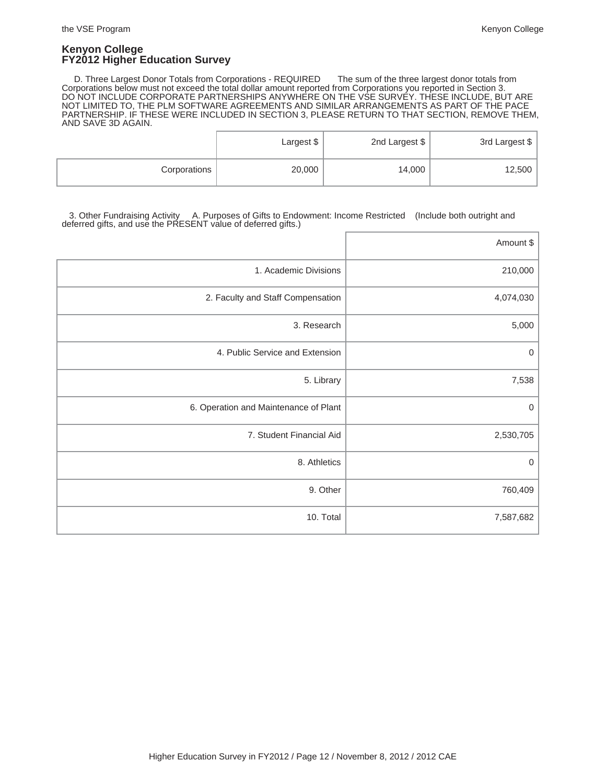D. Three Largest Donor Totals from Corporations - REQUIRED The sum of the three largest donor totals from Corporations below must not exceed the total dollar amount reported from Corporations you reported in Section 3. DO NOT INCLUDE CORPORATE PARTNERSHIPS ANYWHERE ON THE VSE SURVEY. THESE INCLUDE, BUT ARE NOT LIMITED TO, THE PLM SOFTWARE AGREEMENTS AND SIMILAR ARRANGEMENTS AS PART OF THE PACE PARTNERSHIP. IF THESE WERE INCLUDED IN SECTION 3, PLEASE RETURN TO THAT SECTION, REMOVE THEM, AND SAVE 3D AGAIN.

|              | Largest $$^{\dagger}$ | 2nd Largest \$ | 3rd Largest \$ |
|--------------|-----------------------|----------------|----------------|
| Corporations | 20,000                | 14,000         | 12,500         |

 3. Other Fundraising Activity A. Purposes of Gifts to Endowment: Income Restricted (Include both outright and deferred gifts, and use the PRESENT value of deferred gifts.)

|                                       | Amount \$ |
|---------------------------------------|-----------|
| 1. Academic Divisions                 | 210,000   |
| 2. Faculty and Staff Compensation     | 4,074,030 |
| 3. Research                           | 5,000     |
| 4. Public Service and Extension       | 0         |
| 5. Library                            | 7,538     |
| 6. Operation and Maintenance of Plant | 0         |
| 7. Student Financial Aid              | 2,530,705 |
| 8. Athletics                          | 0         |
| 9. Other                              | 760,409   |
| 10. Total                             | 7,587,682 |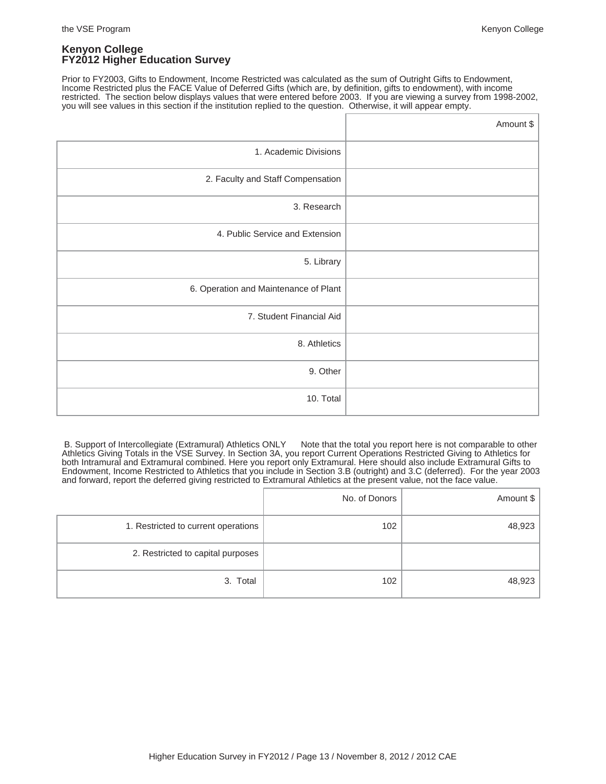Prior to FY2003, Gifts to Endowment, Income Restricted was calculated as the sum of Outright Gifts to Endowment, Income Restricted plus the FACE Value of Deferred Gifts (which are, by definition, gifts to endowment), with income restricted. The section below displays values that were entered before 2003. If you are viewing a survey from 1998-2002, you will see values in this section if the institution replied to the question. Otherwise, it will appear empty.

|                                       | Amount \$ |
|---------------------------------------|-----------|
| 1. Academic Divisions                 |           |
| 2. Faculty and Staff Compensation     |           |
| 3. Research                           |           |
| 4. Public Service and Extension       |           |
| 5. Library                            |           |
| 6. Operation and Maintenance of Plant |           |
| 7. Student Financial Aid              |           |
| 8. Athletics                          |           |
| 9. Other                              |           |
| 10. Total                             |           |

B. Support of Intercollegiate (Extramural) Athletics ONLY Note that the total you report here is not comparable to other Athletics Giving Totals in the VSE Survey. In Section 3A, you report Current Operations Restricted Giving to Athletics for both Intramural and Extramural combined. Here you report only Extramural. Here should also include Extramural Gifts to Endowment, Income Restricted to Athletics that you include in Section 3.B (outright) and 3.C (deferred). For the year 2003 and forward, report the deferred giving restricted to Extramural Athletics at the present value, not the face value.

|                                     | No. of Donors | Amount $\frac{1}{2}$ |
|-------------------------------------|---------------|----------------------|
| 1. Restricted to current operations | 102           | 48,923               |
| 2. Restricted to capital purposes   |               |                      |
| 3. Total                            | 102           | 48,923               |